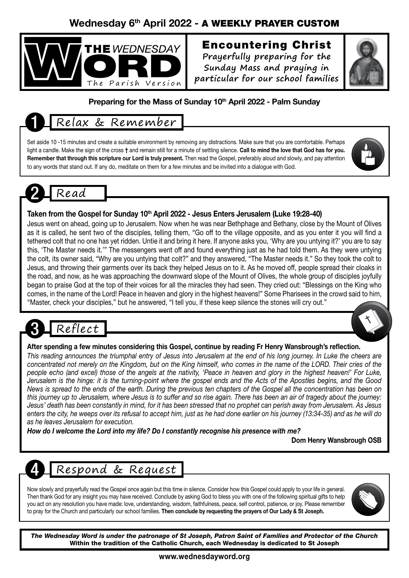### Wednesday 6th April 2022 - A WEEKLY PRAYER CUSTOM



### Encountering Christ

**Prayerfully preparing for the Sunday Mass and praying in particular for our school families**



#### Preparing for the Mass of Sunday 10<sup>th</sup> April 2022 - Palm Sunday

### Relax & Remember

Set aside 10 -15 minutes and create a suitable environment by removing any distractions. Make sure that you are comfortable. Perhaps light a candle. Make the sign of the cross † and remain still for a minute of settling silence. Call to mind the love that God has for you. Remember that through this scripture our Lord is truly present. Then read the Gospel, preferably aloud and slowly, and pay attention to any words that stand out. If any do, meditate on them for a few minutes and be invited into a dialogue with God.



#### Taken from the Gospel for Sunday 10<sup>th</sup> April 2022 - Jesus Enters Jerusalem (Luke 19:28-40)

Jesus went on ahead, going up to Jerusalem. Now when he was near Bethphage and Bethany, close by the Mount of Olives as it is called, he sent two of the disciples, telling them, "Go off to the village opposite, and as you enter it you will find a tethered colt that no one has yet ridden. Untie it and bring it here. If anyone asks you, 'Why are you untying it?' you are to say this, 'The Master needs it.'" The messengers went off and found everything just as he had told them. As they were untying the colt, its owner said, "Why are you untying that colt?" and they answered, "The Master needs it." So they took the colt to Jesus, and throwing their garments over its back they helped Jesus on to it. As he moved off, people spread their cloaks in the road, and now, as he was approaching the downward slope of the Mount of Olives, the whole group of disciples joyfully began to praise God at the top of their voices for all the miracles they had seen. They cried out: "Blessings on the King who comes, in the name of the Lord! Peace in heaven and glory in the highest heavens!" Some Pharisees in the crowd said to him, "Master, check your disciples," but he answered, "I tell you, if these keep silence the stones will cry out."

### Reflect

#### After spending a few minutes considering this Gospel, continue by reading Fr Henry Wansbrough's reflection.

*This reading announces the triumphal entry of Jesus into Jerusalem at the end of his long journey. In Luke the cheers are concentrated not merely on the Kingdom, but on the King himself, who comes in the name of the LORD. Their cries of the people echo (and excel) those of the angels at the nativity, 'Peace in heaven and glory in the highest heaven!' For Luke, Jerusalem is the hinge: it is the turning-point where the gospel ends and the Acts of the Apostles begins, and the Good News is spread to the ends of the earth. During the previous ten chapters of the Gospel all the concentration has been on this journey up to Jerusalem, where Jesus is to suffer and so rise again. There has been an air of tragedy about the journey: Jesus' death has been constantly in mind, for it has been stressed that no prophet can perish away from Jerusalem. As Jesus enters the city, he weeps over its refusal to accept him, just as he had done earlier on his journey (13:34-35) and as he will do as he leaves Jerusalem for execution.*

*How do I welcome the Lord into my life? Do I constantly recognise his presence with me?*

Dom Henry Wansbrough OSB

### Respond & Request

Now slowly and prayerfully read the Gospel once again but this time in silence. Consider how this Gospel could apply to your life in general. Then thank God for any insight you may have received. Conclude by asking God to bless you with one of the following spiritual gifts to help you act on any resolution you have made: love, understanding, wisdom, faithfulness, peace, self control, patience, or joy. Please remember to pray for the Church and particularly our school families. Then conclude by requesting the prayers of Our Lady & St Joseph.



*The Wednesday Word is under the patronage of St Joseph, Patron Saint of Families and Protector of the Church* Within the tradition of the Catholic Church, each Wednesday is dedicated to St Joseph